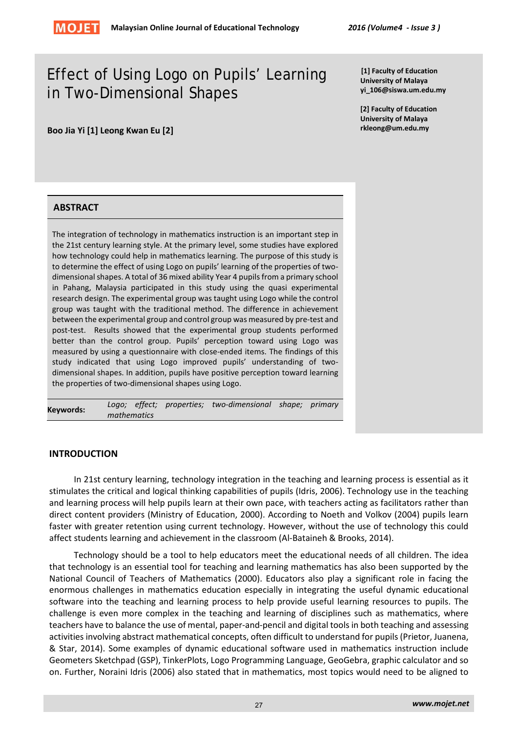

# Effect of Using Logo on Pupils' Learning in Two-Dimensional Shapes

**Boo Jia Yi [1] Leong Kwan Eu [2]** 

**[1] Faculty of Education University of Malaya yi\_106@siswa.um.edu.my** 

**[2] Faculty of Education University of Malaya rkleong@um.edu.my** 

## **ABSTRACT**

The integration of technology in mathematics instruction is an important step in the 21st century learning style. At the primary level, some studies have explored how technology could help in mathematics learning. The purpose of this study is to determine the effect of using Logo on pupils' learning of the properties of twodimensional shapes. A total of 36 mixed ability Year 4 pupils from a primary school in Pahang, Malaysia participated in this study using the quasi experimental research design. The experimental group was taught using Logo while the control group was taught with the traditional method. The difference in achievement between the experimental group and control group was measured by pre-test and post-test. Results showed that the experimental group students performed better than the control group. Pupils' perception toward using Logo was measured by using a questionnaire with close-ended items. The findings of this study indicated that using Logo improved pupils' understanding of twodimensional shapes. In addition, pupils have positive perception toward learning the properties of two-dimensional shapes using Logo.

| Keywords: |             |  |  | Logo; effect; properties; two-dimensional shape; primary |  |  |
|-----------|-------------|--|--|----------------------------------------------------------|--|--|
|           | mathematics |  |  |                                                          |  |  |

#### **INTRODUCTION**

In 21st century learning, technology integration in the teaching and learning process is essential as it stimulates the critical and logical thinking capabilities of pupils (Idris, 2006). Technology use in the teaching and learning process will help pupils learn at their own pace, with teachers acting as facilitators rather than direct content providers (Ministry of Education, 2000). According to Noeth and Volkov (2004) pupils learn faster with greater retention using current technology. However, without the use of technology this could affect students learning and achievement in the classroom (Al-Bataineh & Brooks, 2014).

Technology should be a tool to help educators meet the educational needs of all children. The idea that technology is an essential tool for teaching and learning mathematics has also been supported by the National Council of Teachers of Mathematics (2000). Educators also play a significant role in facing the enormous challenges in mathematics education especially in integrating the useful dynamic educational software into the teaching and learning process to help provide useful learning resources to pupils. The challenge is even more complex in the teaching and learning of disciplines such as mathematics, where teachers have to balance the use of mental, paper-and-pencil and digital tools in both teaching and assessing activities involving abstract mathematical concepts, often difficult to understand for pupils (Prietor, Juanena, & Star, 2014). Some examples of dynamic educational software used in mathematics instruction include Geometers Sketchpad (GSP), TinkerPlots, Logo Programming Language, GeoGebra, graphic calculator and so on. Further, Noraini Idris (2006) also stated that in mathematics, most topics would need to be aligned to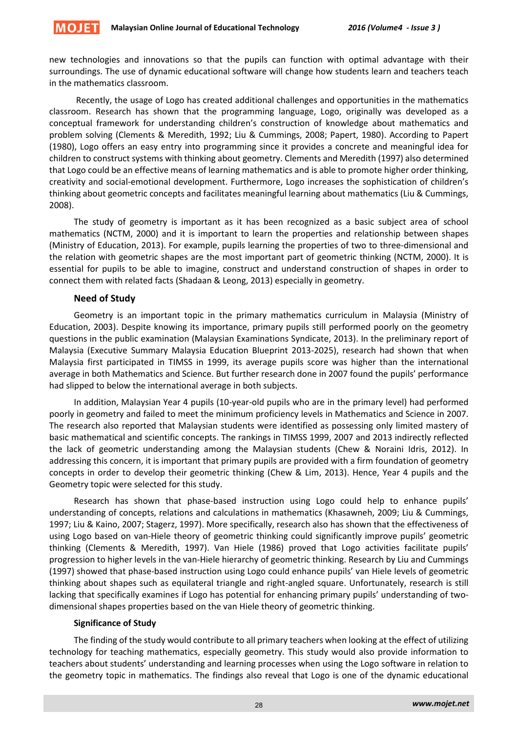new technologies and innovations so that the pupils can function with optimal advantage with their surroundings. The use of dynamic educational software will change how students learn and teachers teach in the mathematics classroom.

Recently, the usage of Logo has created additional challenges and opportunities in the mathematics classroom. Research has shown that the programming language, Logo, originally was developed as a conceptual framework for understanding children's construction of knowledge about mathematics and problem solving (Clements & Meredith, 1992; Liu & Cummings, 2008; Papert, 1980). According to Papert (1980), Logo offers an easy entry into programming since it provides a concrete and meaningful idea for children to construct systems with thinking about geometry. Clements and Meredith (1997) also determined that Logo could be an effective means of learning mathematics and is able to promote higher order thinking, creativity and social-emotional development. Furthermore, Logo increases the sophistication of children's thinking about geometric concepts and facilitates meaningful learning about mathematics (Liu & Cummings, 2008).

The study of geometry is important as it has been recognized as a basic subject area of school mathematics (NCTM, 2000) and it is important to learn the properties and relationship between shapes (Ministry of Education, 2013). For example, pupils learning the properties of two to three-dimensional and the relation with geometric shapes are the most important part of geometric thinking (NCTM, 2000). It is essential for pupils to be able to imagine, construct and understand construction of shapes in order to connect them with related facts (Shadaan & Leong, 2013) especially in geometry.

#### **Need of Study**

Geometry is an important topic in the primary mathematics curriculum in Malaysia (Ministry of Education, 2003). Despite knowing its importance, primary pupils still performed poorly on the geometry questions in the public examination (Malaysian Examinations Syndicate, 2013). In the preliminary report of Malaysia (Executive Summary Malaysia Education Blueprint 2013-2025), research had shown that when Malaysia first participated in TIMSS in 1999, its average pupils score was higher than the international average in both Mathematics and Science. But further research done in 2007 found the pupils' performance had slipped to below the international average in both subjects.

In addition, Malaysian Year 4 pupils (10-year-old pupils who are in the primary level) had performed poorly in geometry and failed to meet the minimum proficiency levels in Mathematics and Science in 2007. The research also reported that Malaysian students were identified as possessing only limited mastery of basic mathematical and scientific concepts. The rankings in TIMSS 1999, 2007 and 2013 indirectly reflected the lack of geometric understanding among the Malaysian students (Chew & Noraini Idris, 2012). In addressing this concern, it is important that primary pupils are provided with a firm foundation of geometry concepts in order to develop their geometric thinking (Chew & Lim, 2013). Hence, Year 4 pupils and the Geometry topic were selected for this study.

Research has shown that phase-based instruction using Logo could help to enhance pupils' understanding of concepts, relations and calculations in mathematics (Khasawneh, 2009; Liu & Cummings, 1997; Liu & Kaino, 2007; Stagerz, 1997). More specifically, research also has shown that the effectiveness of using Logo based on van-Hiele theory of geometric thinking could significantly improve pupils' geometric thinking (Clements & Meredith, 1997). Van Hiele (1986) proved that Logo activities facilitate pupils' progression to higher levels in the van-Hiele hierarchy of geometric thinking. Research by Liu and Cummings (1997) showed that phase-based instruction using Logo could enhance pupils' van Hiele levels of geometric thinking about shapes such as equilateral triangle and right-angled square. Unfortunately, research is still lacking that specifically examines if Logo has potential for enhancing primary pupils' understanding of twodimensional shapes properties based on the van Hiele theory of geometric thinking.

#### **Significance of Study**

The finding of the study would contribute to all primary teachers when looking at the effect of utilizing technology for teaching mathematics, especially geometry. This study would also provide information to teachers about students' understanding and learning processes when using the Logo software in relation to the geometry topic in mathematics. The findings also reveal that Logo is one of the dynamic educational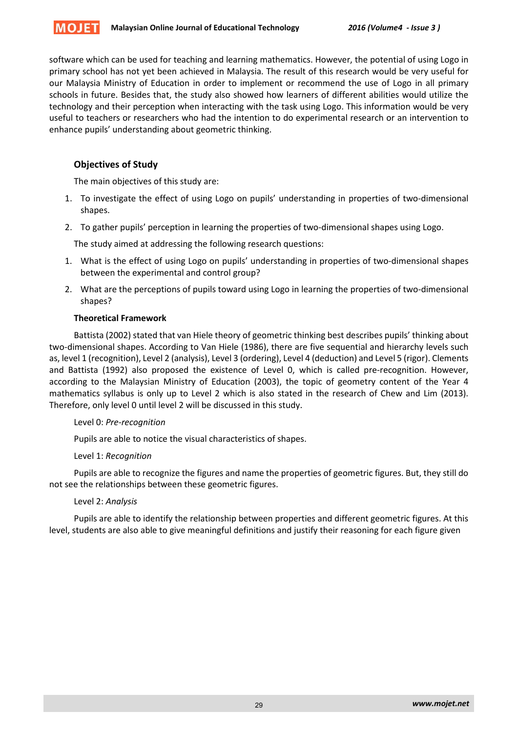

software which can be used for teaching and learning mathematics. However, the potential of using Logo in primary school has not yet been achieved in Malaysia. The result of this research would be very useful for our Malaysia Ministry of Education in order to implement or recommend the use of Logo in all primary schools in future. Besides that, the study also showed how learners of different abilities would utilize the technology and their perception when interacting with the task using Logo. This information would be very useful to teachers or researchers who had the intention to do experimental research or an intervention to enhance pupils' understanding about geometric thinking.

# **Objectives of Study**

The main objectives of this study are:

- 1. To investigate the effect of using Logo on pupils' understanding in properties of two-dimensional shapes.
- 2. To gather pupils' perception in learning the properties of two-dimensional shapes using Logo.

The study aimed at addressing the following research questions:

- 1. What is the effect of using Logo on pupils' understanding in properties of two-dimensional shapes between the experimental and control group?
- 2. What are the perceptions of pupils toward using Logo in learning the properties of two-dimensional shapes?

## **Theoretical Framework**

Battista (2002) stated that van Hiele theory of geometric thinking best describes pupils' thinking about two-dimensional shapes. According to Van Hiele (1986), there are five sequential and hierarchy levels such as, level 1 (recognition), Level 2 (analysis), Level 3 (ordering), Level 4 (deduction) and Level 5 (rigor). Clements and Battista (1992) also proposed the existence of Level 0, which is called pre-recognition. However, according to the Malaysian Ministry of Education (2003), the topic of geometry content of the Year 4 mathematics syllabus is only up to Level 2 which is also stated in the research of Chew and Lim (2013). Therefore, only level 0 until level 2 will be discussed in this study.

#### Level 0: *Pre-recognition*

Pupils are able to notice the visual characteristics of shapes.

#### Level 1: *Recognition*

Pupils are able to recognize the figures and name the properties of geometric figures. But, they still do not see the relationships between these geometric figures.

# Level 2: *Analysis*

Pupils are able to identify the relationship between properties and different geometric figures. At this level, students are also able to give meaningful definitions and justify their reasoning for each figure given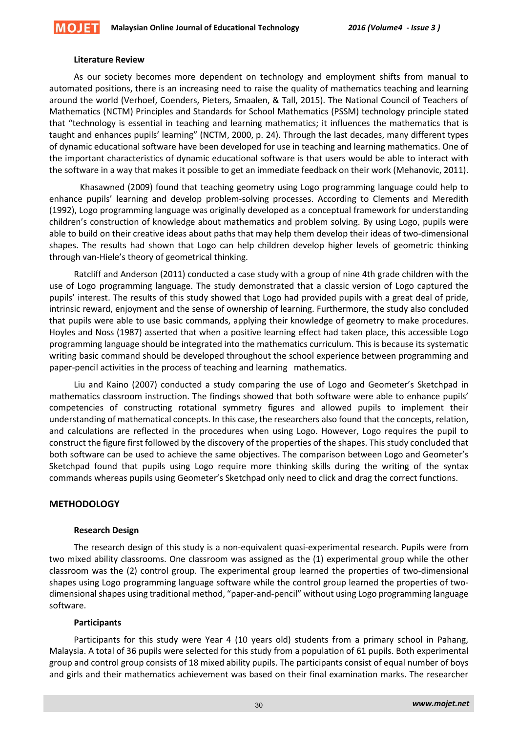#### **Literature Review**

As our society becomes more dependent on technology and employment shifts from manual to automated positions, there is an increasing need to raise the quality of mathematics teaching and learning around the world (Verhoef, Coenders, Pieters, Smaalen, & Tall, 2015). The National Council of Teachers of Mathematics (NCTM) Principles and Standards for School Mathematics (PSSM) technology principle stated that "technology is essential in teaching and learning mathematics; it influences the mathematics that is taught and enhances pupils' learning" (NCTM, 2000, p. 24). Through the last decades, many different types of dynamic educational software have been developed for use in teaching and learning mathematics. One of the important characteristics of dynamic educational software is that users would be able to interact with the software in a way that makes it possible to get an immediate feedback on their work (Mehanovic, 2011).

Khasawned (2009) found that teaching geometry using Logo programming language could help to enhance pupils' learning and develop problem-solving processes. According to Clements and Meredith (1992), Logo programming language was originally developed as a conceptual framework for understanding children's construction of knowledge about mathematics and problem solving. By using Logo, pupils were able to build on their creative ideas about paths that may help them develop their ideas of two-dimensional shapes. The results had shown that Logo can help children develop higher levels of geometric thinking through van-Hiele's theory of geometrical thinking.

Ratcliff and Anderson (2011) conducted a case study with a group of nine 4th grade children with the use of Logo programming language. The study demonstrated that a classic version of Logo captured the pupils' interest. The results of this study showed that Logo had provided pupils with a great deal of pride, intrinsic reward, enjoyment and the sense of ownership of learning. Furthermore, the study also concluded that pupils were able to use basic commands, applying their knowledge of geometry to make procedures. Hoyles and Noss (1987) asserted that when a positive learning effect had taken place, this accessible Logo programming language should be integrated into the mathematics curriculum. This is because its systematic writing basic command should be developed throughout the school experience between programming and paper-pencil activities in the process of teaching and learning mathematics.

Liu and Kaino (2007) conducted a study comparing the use of Logo and Geometer's Sketchpad in mathematics classroom instruction. The findings showed that both software were able to enhance pupils' competencies of constructing rotational symmetry figures and allowed pupils to implement their understanding of mathematical concepts. In this case, the researchers also found that the concepts, relation, and calculations are reflected in the procedures when using Logo. However, Logo requires the pupil to construct the figure first followed by the discovery of the properties of the shapes. This study concluded that both software can be used to achieve the same objectives. The comparison between Logo and Geometer's Sketchpad found that pupils using Logo require more thinking skills during the writing of the syntax commands whereas pupils using Geometer's Sketchpad only need to click and drag the correct functions.

# **METHODOLOGY**

#### **Research Design**

The research design of this study is a non-equivalent quasi-experimental research. Pupils were from two mixed ability classrooms. One classroom was assigned as the (1) experimental group while the other classroom was the (2) control group. The experimental group learned the properties of two-dimensional shapes using Logo programming language software while the control group learned the properties of twodimensional shapes using traditional method, "paper-and-pencil" without using Logo programming language software.

#### **Participants**

Participants for this study were Year 4 (10 years old) students from a primary school in Pahang, Malaysia. A total of 36 pupils were selected for this study from a population of 61 pupils. Both experimental group and control group consists of 18 mixed ability pupils. The participants consist of equal number of boys and girls and their mathematics achievement was based on their final examination marks. The researcher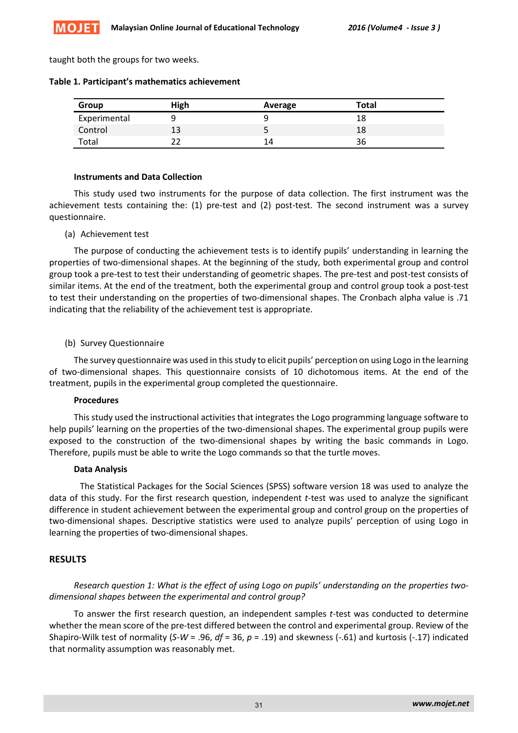taught both the groups for two weeks.

| Group        | <b>High</b> | Average | Total |  |
|--------------|-------------|---------|-------|--|
| Experimental | ч           |         | 18    |  |
| Control      | 13          |         | 18    |  |
| Total        |             | 14      | 36    |  |

#### **Instruments and Data Collection**

This study used two instruments for the purpose of data collection. The first instrument was the achievement tests containing the: (1) pre-test and (2) post-test. The second instrument was a survey questionnaire.

#### (a) Achievement test

The purpose of conducting the achievement tests is to identify pupils' understanding in learning the properties of two-dimensional shapes. At the beginning of the study, both experimental group and control group took a pre-test to test their understanding of geometric shapes. The pre-test and post-test consists of similar items. At the end of the treatment, both the experimental group and control group took a post-test to test their understanding on the properties of two-dimensional shapes. The Cronbach alpha value is .71 indicating that the reliability of the achievement test is appropriate.

## (b) Survey Questionnaire

The survey questionnaire was used in this study to elicit pupils' perception on using Logo in the learning of two-dimensional shapes. This questionnaire consists of 10 dichotomous items. At the end of the treatment, pupils in the experimental group completed the questionnaire.

#### **Procedures**

This study used the instructional activities that integrates the Logo programming language software to help pupils' learning on the properties of the two-dimensional shapes. The experimental group pupils were exposed to the construction of the two-dimensional shapes by writing the basic commands in Logo. Therefore, pupils must be able to write the Logo commands so that the turtle moves.

#### **Data Analysis**

The Statistical Packages for the Social Sciences (SPSS) software version 18 was used to analyze the data of this study. For the first research question, independent *t*-test was used to analyze the significant difference in student achievement between the experimental group and control group on the properties of two-dimensional shapes. Descriptive statistics were used to analyze pupils' perception of using Logo in learning the properties of two-dimensional shapes.

# **RESULTS**

# *Research question 1: What is the effect of using Logo on pupils' understanding on the properties twodimensional shapes between the experimental and control group?*

To answer the first research question, an independent samples *t*-test was conducted to determine whether the mean score of the pre-test differed between the control and experimental group. Review of the Shapiro-Wilk test of normality (*S-W* = .96, *df* = 36, *p* = .19) and skewness (-.61) and kurtosis (-.17) indicated that normality assumption was reasonably met.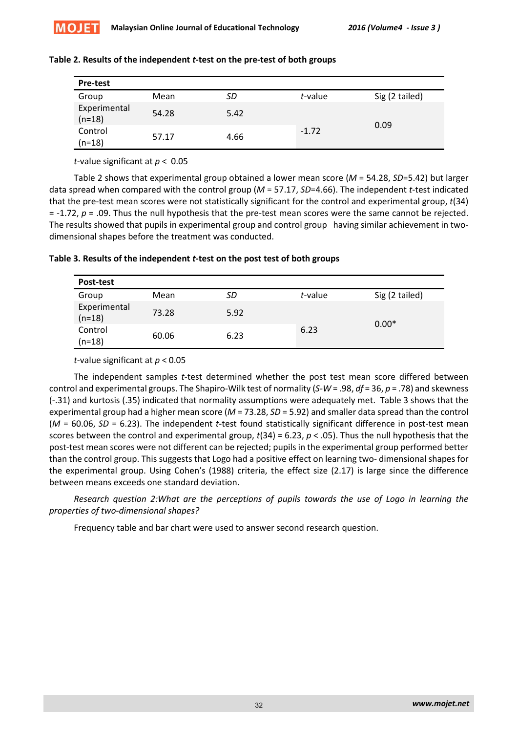

| <b>Pre-test</b>          |       |      |         |                |
|--------------------------|-------|------|---------|----------------|
| Group                    | Mean  | SD   | t-value | Sig (2 tailed) |
| Experimental<br>$(n=18)$ | 54.28 | 5.42 |         | 0.09           |
| Control<br>$(n=18)$      | 57.17 | 4.66 | $-1.72$ |                |

#### **Table 2. Results of the independent** *t***-test on the pre-test of both groups**

*t*-value significant at *p* < 0.05

Table 2 shows that experimental group obtained a lower mean score (*M* = 54.28, *SD*=5.42) but larger data spread when compared with the control group (*M* = 57.17, *SD*=4.66). The independent *t-*test indicated that the pre-test mean scores were not statistically significant for the control and experimental group, *t*(34) = -1.72, *p* = .09. Thus the null hypothesis that the pre-test mean scores were the same cannot be rejected. The results showed that pupils in experimental group and control group having similar achievement in twodimensional shapes before the treatment was conducted.

## **Table 3. Results of the independent** *t***-test on the post test of both groups**

| Post-test                |       |      |         |                |
|--------------------------|-------|------|---------|----------------|
| Group                    | Mean  | SD   | t-value | Sig (2 tailed) |
| Experimental<br>$(n=18)$ | 73.28 | 5.92 |         | $0.00*$        |
| Control<br>$(n=18)$      | 60.06 | 6.23 | 6.23    |                |

*t*-value significant at *p* < 0.05

The independent samples *t*-test determined whether the post test mean score differed between control and experimental groups. The Shapiro-Wilk test of normality (*S-W* = .98, *df* = 36, *p* = .78) and skewness (-.31) and kurtosis (.35) indicated that normality assumptions were adequately met. Table 3 shows that the experimental group had a higher mean score (*M* = 73.28, *SD* = 5.92) and smaller data spread than the control (*M* = 60.06, *SD* = 6.23). The independent *t-*test found statistically significant difference in post-test mean scores between the control and experimental group, *t*(34) = 6.23, *p* < .05). Thus the null hypothesis that the post-test mean scores were not different can be rejected; pupils in the experimental group performed better than the control group. This suggests that Logo had a positive effect on learning two- dimensional shapes for the experimental group. Using Cohen's (1988) criteria, the effect size (2.17) is large since the difference between means exceeds one standard deviation.

*Research question 2:What are the perceptions of pupils towards the use of Logo in learning the properties of two-dimensional shapes?*

Frequency table and bar chart were used to answer second research question.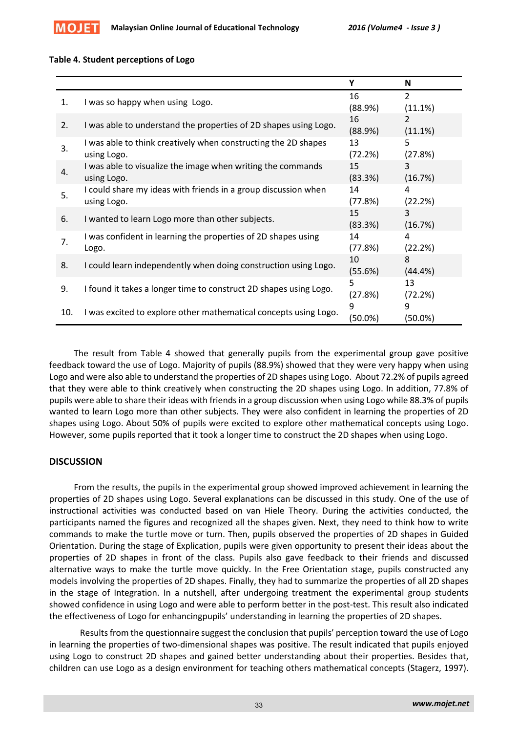

#### **Table 4. Student perceptions of Logo**

|     |                                                                               | Υ               | N               |
|-----|-------------------------------------------------------------------------------|-----------------|-----------------|
| 1.  | I was so happy when using Logo.                                               | 16<br>(88.9%)   | 2<br>(11.1%)    |
| 2.  | I was able to understand the properties of 2D shapes using Logo.              | 16<br>(88.9%)   | 2<br>(11.1%)    |
| 3.  | I was able to think creatively when constructing the 2D shapes<br>using Logo. | 13<br>(72.2%)   | 5<br>(27.8%)    |
| 4.  | I was able to visualize the image when writing the commands<br>using Logo.    | 15<br>(83.3%)   | 3<br>(16.7%)    |
| 5.  | I could share my ideas with friends in a group discussion when<br>using Logo. | 14<br>(77.8%)   | 4<br>(22.2%)    |
| 6.  | I wanted to learn Logo more than other subjects.                              | 15<br>(83.3%)   | 3<br>(16.7%)    |
| 7.  | I was confident in learning the properties of 2D shapes using<br>Logo.        | 14<br>(77.8%)   | 4<br>(22.2%)    |
| 8.  | I could learn independently when doing construction using Logo.               | 10<br>(55.6%)   | 8<br>(44.4%)    |
| 9.  | I found it takes a longer time to construct 2D shapes using Logo.             | 5<br>(27.8%)    | 13<br>(72.2%)   |
| 10. | I was excited to explore other mathematical concepts using Logo.              | 9<br>$(50.0\%)$ | 9<br>$(50.0\%)$ |

The result from Table 4 showed that generally pupils from the experimental group gave positive feedback toward the use of Logo. Majority of pupils (88.9%) showed that they were very happy when using Logo and were also able to understand the properties of 2D shapes using Logo. About 72.2% of pupils agreed that they were able to think creatively when constructing the 2D shapes using Logo. In addition, 77.8% of pupils were able to share their ideas with friends in a group discussion when using Logo while 88.3% of pupils wanted to learn Logo more than other subjects. They were also confident in learning the properties of 2D shapes using Logo. About 50% of pupils were excited to explore other mathematical concepts using Logo. However, some pupils reported that it took a longer time to construct the 2D shapes when using Logo.

#### **DISCUSSION**

From the results, the pupils in the experimental group showed improved achievement in learning the properties of 2D shapes using Logo. Several explanations can be discussed in this study. One of the use of instructional activities was conducted based on van Hiele Theory. During the activities conducted, the participants named the figures and recognized all the shapes given. Next, they need to think how to write commands to make the turtle move or turn. Then, pupils observed the properties of 2D shapes in Guided Orientation. During the stage of Explication, pupils were given opportunity to present their ideas about the properties of 2D shapes in front of the class. Pupils also gave feedback to their friends and discussed alternative ways to make the turtle move quickly. In the Free Orientation stage, pupils constructed any models involving the properties of 2D shapes. Finally, they had to summarize the properties of all 2D shapes in the stage of Integration. In a nutshell, after undergoing treatment the experimental group students showed confidence in using Logo and were able to perform better in the post-test. This result also indicated the effectiveness of Logo for enhancingpupils' understanding in learning the properties of 2D shapes.

Results from the questionnaire suggest the conclusion that pupils' perception toward the use of Logo in learning the properties of two-dimensional shapes was positive. The result indicated that pupils enjoyed using Logo to construct 2D shapes and gained better understanding about their properties. Besides that, children can use Logo as a design environment for teaching others mathematical concepts (Stagerz, 1997).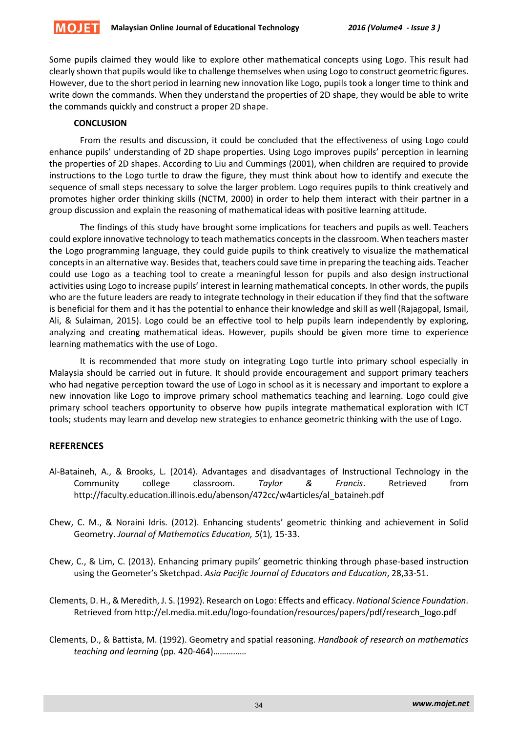

Some pupils claimed they would like to explore other mathematical concepts using Logo. This result had clearly shown that pupils would like to challenge themselves when using Logo to construct geometric figures. However, due to the short period in learning new innovation like Logo, pupils took a longer time to think and write down the commands. When they understand the properties of 2D shape, they would be able to write the commands quickly and construct a proper 2D shape.

## **CONCLUSION**

From the results and discussion, it could be concluded that the effectiveness of using Logo could enhance pupils' understanding of 2D shape properties. Using Logo improves pupils' perception in learning the properties of 2D shapes. According to Liu and Cummings (2001), when children are required to provide instructions to the Logo turtle to draw the figure, they must think about how to identify and execute the sequence of small steps necessary to solve the larger problem. Logo requires pupils to think creatively and promotes higher order thinking skills (NCTM, 2000) in order to help them interact with their partner in a group discussion and explain the reasoning of mathematical ideas with positive learning attitude.

The findings of this study have brought some implications for teachers and pupils as well. Teachers could explore innovative technology to teach mathematics concepts in the classroom. When teachers master the Logo programming language, they could guide pupils to think creatively to visualize the mathematical concepts in an alternative way. Besides that, teachers could save time in preparing the teaching aids. Teacher could use Logo as a teaching tool to create a meaningful lesson for pupils and also design instructional activities using Logo to increase pupils' interest in learning mathematical concepts. In other words, the pupils who are the future leaders are ready to integrate technology in their education if they find that the software is beneficial for them and it has the potential to enhance their knowledge and skill as well (Rajagopal, Ismail, Ali, & Sulaiman, 2015). Logo could be an effective tool to help pupils learn independently by exploring, analyzing and creating mathematical ideas. However, pupils should be given more time to experience learning mathematics with the use of Logo.

It is recommended that more study on integrating Logo turtle into primary school especially in Malaysia should be carried out in future. It should provide encouragement and support primary teachers who had negative perception toward the use of Logo in school as it is necessary and important to explore a new innovation like Logo to improve primary school mathematics teaching and learning. Logo could give primary school teachers opportunity to observe how pupils integrate mathematical exploration with ICT tools; students may learn and develop new strategies to enhance geometric thinking with the use of Logo.

# **REFERENCES**

- Al-Bataineh, A., & Brooks, L. (2014). Advantages and disadvantages of Instructional Technology in the Community college classroom. *Taylor & Francis*. Retrieved from http://faculty.education.illinois.edu/abenson/472cc/w4articles/al\_bataineh.pdf
- Chew, C. M., & Noraini Idris. (2012). Enhancing students' geometric thinking and achievement in Solid Geometry. *Journal of Mathematics Education, 5*(1)*,* 15-33.
- Chew, C., & Lim, C. (2013). Enhancing primary pupils' geometric thinking through phase-based instruction using the Geometer's Sketchpad. *Asia Pacific Journal of Educators and Education*, 28,33-51.
- Clements, D. H., & Meredith, J. S. (1992). Research on Logo: Effects and efficacy. *National Science Foundation*. Retrieved from http://el.media.mit.edu/logo-foundation/resources/papers/pdf/research\_logo.pdf
- Clements, D., & Battista, M. (1992). Geometry and spatial reasoning. *Handbook of research on mathematics teaching and learning* (pp. 420-464)……………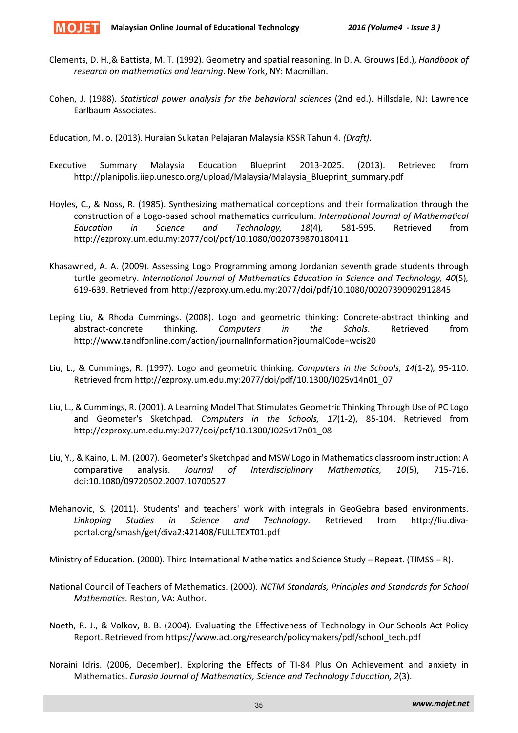

- Clements, D. H.,& Battista, M. T. (1992). Geometry and spatial reasoning. In D. A. Grouws (Ed.), *Handbook of research on mathematics and learning*. New York, NY: Macmillan.
- Cohen, J. (1988). *Statistical power analysis for the behavioral sciences* (2nd ed.). Hillsdale, NJ: Lawrence Earlbaum Associates.

Education, M. o. (2013). Huraian Sukatan Pelajaran Malaysia KSSR Tahun 4. *(Draft)*.

- Executive Summary Malaysia Education Blueprint 2013-2025. (2013). Retrieved from http://planipolis.iiep.unesco.org/upload/Malaysia/Malaysia\_Blueprint\_summary.pdf
- Hoyles, C., & Noss, R. (1985). Synthesizing mathematical conceptions and their formalization through the construction of a Logo-based school mathematics curriculum. *International Journal of Mathematical Education in Science and Technology, 18*(4)*,* 581-595. Retrieved from http://ezproxy.um.edu.my:2077/doi/pdf/10.1080/0020739870180411
- Khasawned, A. A. (2009). Assessing Logo Programming among Jordanian seventh grade students through turtle geometry. *International Journal of Mathematics Education in Science and Technology, 40*(5)*,* 619-639. Retrieved from http://ezproxy.um.edu.my:2077/doi/pdf/10.1080/00207390902912845
- Leping Liu, & Rhoda Cummings. (2008). Logo and geometric thinking: Concrete-abstract thinking and abstract-concrete thinking. *Computers in the Schols*. Retrieved from http://www.tandfonline.com/action/journalInformation?journalCode=wcis20
- Liu, L., & Cummings, R. (1997). Logo and geometric thinking. *Computers in the Schools, 14*(1-2)*,* 95-110. Retrieved from http://ezproxy.um.edu.my:2077/doi/pdf/10.1300/J025v14n01\_07
- Liu, L., & Cummings, R. (2001). A Learning Model That Stimulates Geometric Thinking Through Use of PC Logo and Geometer's Sketchpad. *Computers in the Schools, 17*(1-2), 85-104. Retrieved from http://ezproxy.um.edu.my:2077/doi/pdf/10.1300/J025v17n01\_08
- Liu, Y., & Kaino, L. M. (2007). Geometer's Sketchpad and MSW Logo in Mathematics classroom instruction: A comparative analysis. *Journal of Interdisciplinary Mathematics, 10*(5), 715-716. doi:10.1080/09720502.2007.10700527
- Mehanovic, S. (2011). Students' and teachers' work with integrals in GeoGebra based environments. *Linkoping Studies in Science and Technology*. Retrieved from http://liu.divaportal.org/smash/get/diva2:421408/FULLTEXT01.pdf

Ministry of Education. (2000). Third International Mathematics and Science Study – Repeat. (TIMSS – R).

- National Council of Teachers of Mathematics. (2000). *NCTM Standards, Principles and Standards for School Mathematics.* Reston, VA: Author.
- Noeth, R. J., & Volkov, B. B. (2004). Evaluating the Effectiveness of Technology in Our Schools Act Policy Report. Retrieved from https://www.act.org/research/policymakers/pdf/school\_tech.pdf
- Noraini Idris. (2006, December). Exploring the Effects of TI-84 Plus On Achievement and anxiety in Mathematics. *Eurasia Journal of Mathematics, Science and Technology Education, 2*(3).